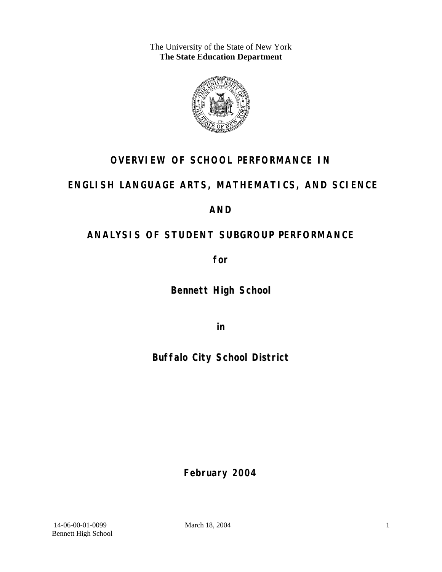The University of the State of New York **The State Education Department** 



# **OVERVIEW OF SCHOOL PERFORMANCE IN**

# **ENGLISH LANGUAGE ARTS, MATHEMATICS, AND SCIENCE**

# **AND**

# **ANALYSIS OF STUDENT SUBGROUP PERFORMANCE**

**for** 

**Bennett High School**

**in** 

**Buffalo City School District**

**February 2004**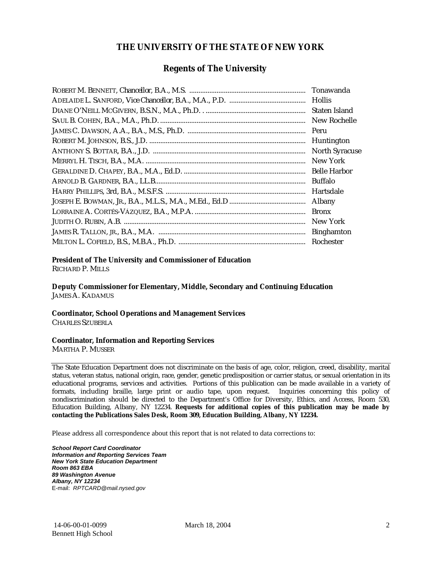### **THE UNIVERSITY OF THE STATE OF NEW YORK**

### **Regents of The University**

| Tonawanda             |
|-----------------------|
| <b>Hollis</b>         |
| Staten Island         |
| New Rochelle          |
| Peru                  |
| Huntington            |
| <b>North Syracuse</b> |
| New York              |
| <b>Belle Harbor</b>   |
| <b>Buffalo</b>        |
| Hartsdale             |
| Albany                |
| <b>Bronx</b>          |
| New York              |
| <b>Binghamton</b>     |
| Rochester             |

#### **President of The University and Commissioner of Education**

RICHARD P. MILLS

**Deputy Commissioner for Elementary, Middle, Secondary and Continuing Education**  JAMES A. KADAMUS

#### **Coordinator, School Operations and Management Services**

CHARLES SZUBERLA

#### **Coordinator, Information and Reporting Services**

MARTHA P. MUSSER

The State Education Department does not discriminate on the basis of age, color, religion, creed, disability, marital status, veteran status, national origin, race, gender, genetic predisposition or carrier status, or sexual orientation in its educational programs, services and activities. Portions of this publication can be made available in a variety of formats, including braille, large print or audio tape, upon request. Inquiries concerning this policy of nondiscrimination should be directed to the Department's Office for Diversity, Ethics, and Access, Room 530, Education Building, Albany, NY 12234. **Requests for additional copies of this publication may be made by contacting the Publications Sales Desk, Room 309, Education Building, Albany, NY 12234.** 

Please address all correspondence about this report that is not related to data corrections to:

*School Report Card Coordinator Information and Reporting Services Team New York State Education Department Room 863 EBA 89 Washington Avenue Albany, NY 12234*  E-mail: *RPTCARD@mail.nysed.gov*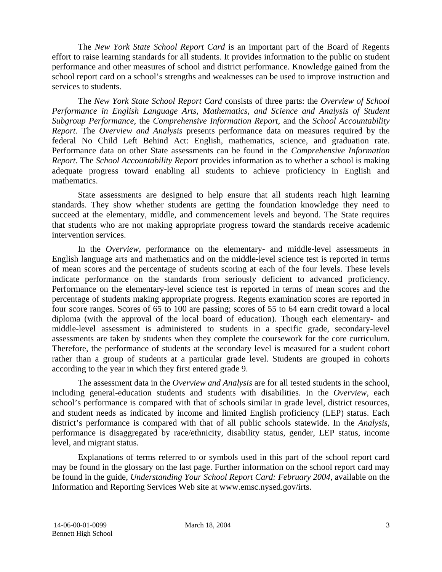The *New York State School Report Card* is an important part of the Board of Regents effort to raise learning standards for all students. It provides information to the public on student performance and other measures of school and district performance. Knowledge gained from the school report card on a school's strengths and weaknesses can be used to improve instruction and services to students.

The *New York State School Report Card* consists of three parts: the *Overview of School Performance in English Language Arts, Mathematics, and Science and Analysis of Student Subgroup Performance,* the *Comprehensive Information Report,* and the *School Accountability Report*. The *Overview and Analysis* presents performance data on measures required by the federal No Child Left Behind Act: English, mathematics, science, and graduation rate. Performance data on other State assessments can be found in the *Comprehensive Information Report*. The *School Accountability Report* provides information as to whether a school is making adequate progress toward enabling all students to achieve proficiency in English and mathematics.

State assessments are designed to help ensure that all students reach high learning standards. They show whether students are getting the foundation knowledge they need to succeed at the elementary, middle, and commencement levels and beyond. The State requires that students who are not making appropriate progress toward the standards receive academic intervention services.

In the *Overview*, performance on the elementary- and middle-level assessments in English language arts and mathematics and on the middle-level science test is reported in terms of mean scores and the percentage of students scoring at each of the four levels. These levels indicate performance on the standards from seriously deficient to advanced proficiency. Performance on the elementary-level science test is reported in terms of mean scores and the percentage of students making appropriate progress. Regents examination scores are reported in four score ranges. Scores of 65 to 100 are passing; scores of 55 to 64 earn credit toward a local diploma (with the approval of the local board of education). Though each elementary- and middle-level assessment is administered to students in a specific grade, secondary-level assessments are taken by students when they complete the coursework for the core curriculum. Therefore, the performance of students at the secondary level is measured for a student cohort rather than a group of students at a particular grade level. Students are grouped in cohorts according to the year in which they first entered grade 9.

The assessment data in the *Overview and Analysis* are for all tested students in the school, including general-education students and students with disabilities. In the *Overview*, each school's performance is compared with that of schools similar in grade level, district resources, and student needs as indicated by income and limited English proficiency (LEP) status. Each district's performance is compared with that of all public schools statewide. In the *Analysis*, performance is disaggregated by race/ethnicity, disability status, gender, LEP status, income level, and migrant status.

Explanations of terms referred to or symbols used in this part of the school report card may be found in the glossary on the last page. Further information on the school report card may be found in the guide, *Understanding Your School Report Card: February 2004*, available on the Information and Reporting Services Web site at www.emsc.nysed.gov/irts.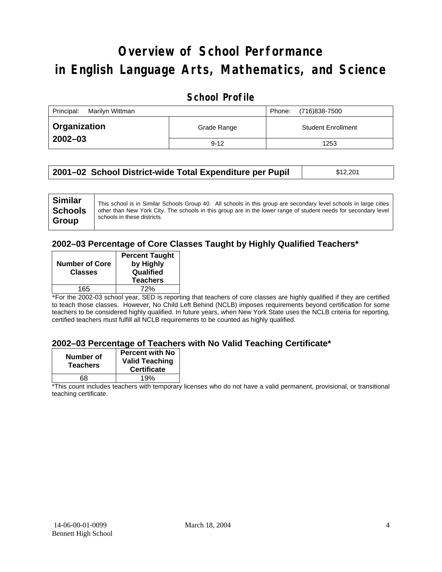# **Overview of School Performance in English Language Arts, Mathematics, and Science**

### **School Profile**

| Principal:<br>Marilyn Wittman |             | (716)838-7500<br>Phone:   |
|-------------------------------|-------------|---------------------------|
| <b>Organization</b>           | Grade Range | <b>Student Enrollment</b> |
| $2002 - 03$                   | $9 - 12$    | 1253                      |

| 2001–02 School District-wide Total Expenditure per Pupil | \$12,201 |
|----------------------------------------------------------|----------|
|----------------------------------------------------------|----------|

### **2002–03 Percentage of Core Classes Taught by Highly Qualified Teachers\***

| <b>Number of Core</b><br><b>Classes</b> | <b>Percent Taught</b><br>by Highly<br>Qualified<br><b>Teachers</b> |
|-----------------------------------------|--------------------------------------------------------------------|
| 165                                     | 72%                                                                |

\*For the 2002-03 school year, SED is reporting that teachers of core classes are highly qualified if they are certified to teach those classes. However, No Child Left Behind (NCLB) imposes requirements beyond certification for some teachers to be considered highly qualified. In future years, when New York State uses the NCLB criteria for reporting, certified teachers must fulfill all NCLB requirements to be counted as highly qualified.

#### **2002–03 Percentage of Teachers with No Valid Teaching Certificate\***

| Number of<br><b>Teachers</b> | <b>Percent with No</b><br><b>Valid Teaching</b><br><b>Certificate</b> |
|------------------------------|-----------------------------------------------------------------------|
| 68                           | 19%                                                                   |

\*This count includes teachers with temporary licenses who do not have a valid permanent, provisional, or transitional teaching certificate.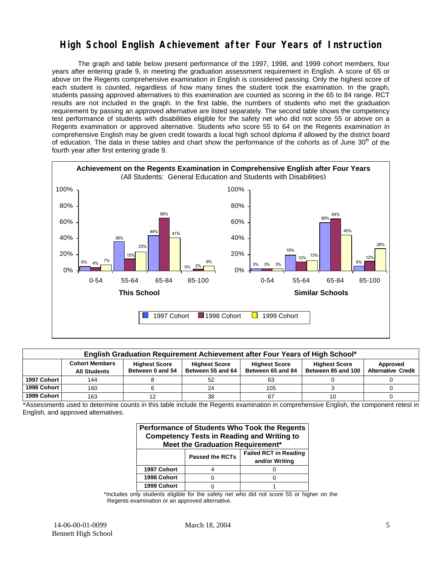### **High School English Achievement after Four Years of Instruction**

The graph and table below present performance of the 1997, 1998, and 1999 cohort members, four years after entering grade 9, in meeting the graduation assessment requirement in English. A score of 65 or above on the Regents comprehensive examination in English is considered passing. Only the highest score of each student is counted, regardless of how many times the student took the examination. In the graph, students passing approved alternatives to this examination are counted as scoring in the 65 to 84 range. RCT results are not included in the graph. In the first table, the numbers of students who met the graduation requirement by passing an approved alternative are listed separately. The second table shows the competency test performance of students with disabilities eligible for the safety net who did not score 55 or above on a Regents examination or approved alternative. Students who score 55 to 64 on the Regents examination in comprehensive English may be given credit towards a local high school diploma if allowed by the district board of education. The data in these tables and chart show the performance of the cohorts as of June 30<sup>th</sup> of the fourth year after first entering grade 9.



| English Graduation Requirement Achievement after Four Years of High School* |                                                                                                                                                                                                                                                                           |  |    |     |  |  |  |  |  |
|-----------------------------------------------------------------------------|---------------------------------------------------------------------------------------------------------------------------------------------------------------------------------------------------------------------------------------------------------------------------|--|----|-----|--|--|--|--|--|
|                                                                             | <b>Cohort Members</b><br><b>Highest Score</b><br><b>Highest Score</b><br><b>Highest Score</b><br><b>Highest Score</b><br>Approved<br>Between 55 and 64<br>Between 85 and 100<br><b>Alternative Credit</b><br>Between 65 and 84<br>Between 0 and 54<br><b>All Students</b> |  |    |     |  |  |  |  |  |
| 1997 Cohort                                                                 | 144                                                                                                                                                                                                                                                                       |  | 52 | 63  |  |  |  |  |  |
| 1998 Cohort                                                                 | 160                                                                                                                                                                                                                                                                       |  | 24 | 105 |  |  |  |  |  |
| 1999 Cohort                                                                 | 163                                                                                                                                                                                                                                                                       |  | 38 | 67  |  |  |  |  |  |

\*Assessments used to determine counts in this table include the Regents examination in comprehensive English, the component retest in English, and approved alternatives.

| Performance of Students Who Took the Regents<br><b>Competency Tests in Reading and Writing to</b><br>Meet the Graduation Requirement* |                        |                                                |  |  |  |  |  |
|---------------------------------------------------------------------------------------------------------------------------------------|------------------------|------------------------------------------------|--|--|--|--|--|
|                                                                                                                                       | <b>Passed the RCTs</b> | <b>Failed RCT in Reading</b><br>and/or Writing |  |  |  |  |  |
| 1997 Cohort                                                                                                                           |                        |                                                |  |  |  |  |  |
| 1998 Cohort                                                                                                                           |                        |                                                |  |  |  |  |  |
| 1999 Cohort                                                                                                                           |                        |                                                |  |  |  |  |  |

\*Includes only students eligible for the safety net who did not score 55 or higher on the Regents examination or an approved alternative.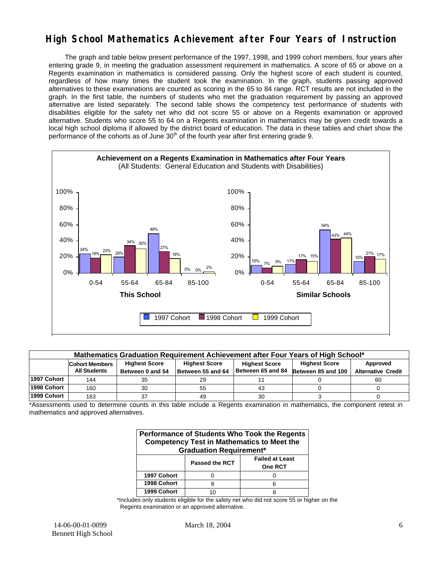## **High School Mathematics Achievement after Four Years of Instruction**

The graph and table below present performance of the 1997, 1998, and 1999 cohort members, four years after entering grade 9, in meeting the graduation assessment requirement in mathematics. A score of 65 or above on a Regents examination in mathematics is considered passing. Only the highest score of each student is counted, regardless of how many times the student took the examination. In the graph, students passing approved alternatives to these examinations are counted as scoring in the 65 to 84 range. RCT results are not included in the graph. In the first table, the numbers of students who met the graduation requirement by passing an approved alternative are listed separately. The second table shows the competency test performance of students with disabilities eligible for the safety net who did not score 55 or above on a Regents examination or approved alternative. Students who score 55 to 64 on a Regents examination in mathematics may be given credit towards a local high school diploma if allowed by the district board of education. The data in these tables and chart show the performance of the cohorts as of June  $30<sup>th</sup>$  of the fourth year after first entering grade 9.



| Mathematics Graduation Requirement Achievement after Four Years of High School* |                                                                                                                                   |                  |                   |                   |                    |                           |  |  |  |
|---------------------------------------------------------------------------------|-----------------------------------------------------------------------------------------------------------------------------------|------------------|-------------------|-------------------|--------------------|---------------------------|--|--|--|
|                                                                                 | <b>Highest Score</b><br><b>Highest Score</b><br><b>Highest Score</b><br>Approved<br><b>Cohort Members</b><br><b>Highest Score</b> |                  |                   |                   |                    |                           |  |  |  |
|                                                                                 | <b>All Students</b>                                                                                                               | Between 0 and 54 | Between 55 and 64 | Between 65 and 84 | Between 85 and 100 | <b>Alternative Credit</b> |  |  |  |
| 1997 Cohort                                                                     | 144                                                                                                                               | 35               | 29                |                   |                    | 60                        |  |  |  |
| 1998 Cohort                                                                     | 160                                                                                                                               | 30               | 55                | 43                |                    |                           |  |  |  |
| 1999 Cohort                                                                     | 163                                                                                                                               | 37               | 49                | 30                |                    |                           |  |  |  |

\*Assessments used to determine counts in this table include a Regents examination in mathematics, the component retest in mathematics and approved alternatives.

| Performance of Students Who Took the Regents<br><b>Competency Test in Mathematics to Meet the</b><br><b>Graduation Requirement*</b> |                |                                   |  |  |  |  |
|-------------------------------------------------------------------------------------------------------------------------------------|----------------|-----------------------------------|--|--|--|--|
|                                                                                                                                     | Passed the RCT | <b>Failed at Least</b><br>One RCT |  |  |  |  |
| 1997 Cohort                                                                                                                         |                |                                   |  |  |  |  |
| 1998 Cohort                                                                                                                         |                |                                   |  |  |  |  |
| 1999 Cohort                                                                                                                         |                |                                   |  |  |  |  |

\*Includes only students eligible for the safety net who did not score 55 or higher on the Regents examination or an approved alternative.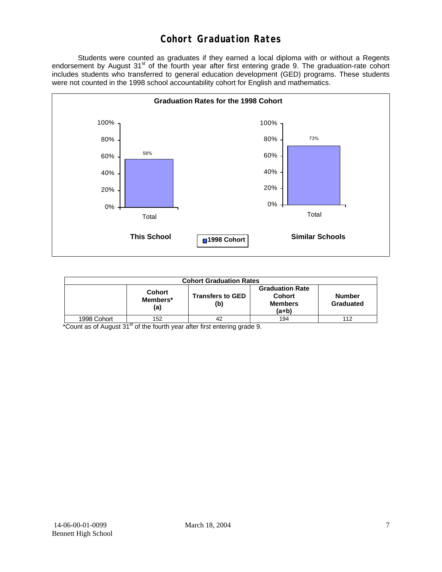## **Cohort Graduation Rates**

 Students were counted as graduates if they earned a local diploma with or without a Regents endorsement by August 31<sup>st</sup> of the fourth year after first entering grade 9. The graduation-rate cohort includes students who transferred to general education development (GED) programs. These students were not counted in the 1998 school accountability cohort for English and mathematics.



| <b>Cohort Graduation Rates</b> |                                  |                                |                                                               |                            |  |  |
|--------------------------------|----------------------------------|--------------------------------|---------------------------------------------------------------|----------------------------|--|--|
|                                | <b>Cohort</b><br>Members*<br>(a) | <b>Transfers to GED</b><br>(b) | <b>Graduation Rate</b><br>Cohort<br><b>Members</b><br>$(a+b)$ | <b>Number</b><br>Graduated |  |  |
| 1998 Cohort                    | 152                              | 42                             | 194                                                           | 112                        |  |  |

\*Count as of August 31<sup>st</sup> of the fourth year after first entering grade 9.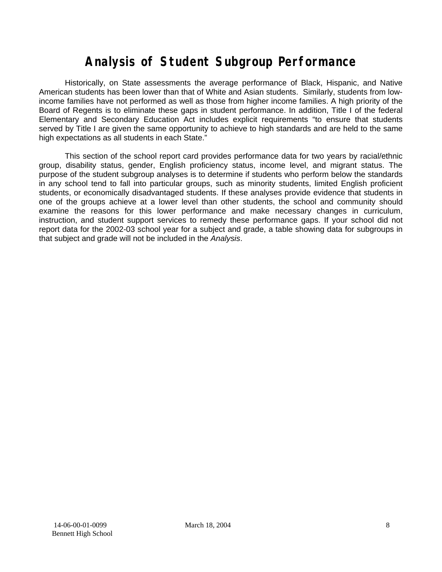# **Analysis of Student Subgroup Performance**

Historically, on State assessments the average performance of Black, Hispanic, and Native American students has been lower than that of White and Asian students. Similarly, students from lowincome families have not performed as well as those from higher income families. A high priority of the Board of Regents is to eliminate these gaps in student performance. In addition, Title I of the federal Elementary and Secondary Education Act includes explicit requirements "to ensure that students served by Title I are given the same opportunity to achieve to high standards and are held to the same high expectations as all students in each State."

This section of the school report card provides performance data for two years by racial/ethnic group, disability status, gender, English proficiency status, income level, and migrant status. The purpose of the student subgroup analyses is to determine if students who perform below the standards in any school tend to fall into particular groups, such as minority students, limited English proficient students, or economically disadvantaged students. If these analyses provide evidence that students in one of the groups achieve at a lower level than other students, the school and community should examine the reasons for this lower performance and make necessary changes in curriculum, instruction, and student support services to remedy these performance gaps. If your school did not report data for the 2002-03 school year for a subject and grade, a table showing data for subgroups in that subject and grade will not be included in the *Analysis*.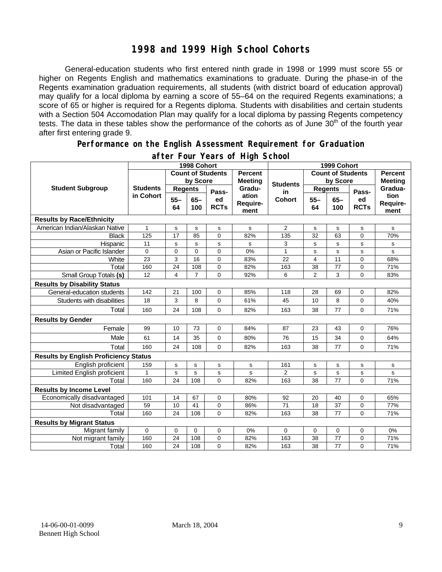### **1998 and 1999 High School Cohorts**

General-education students who first entered ninth grade in 1998 or 1999 must score 55 or higher on Regents English and mathematics examinations to graduate. During the phase-in of the Regents examination graduation requirements, all students (with district board of education approval) may qualify for a local diploma by earning a score of 55–64 on the required Regents examinations; a score of 65 or higher is required for a Regents diploma. Students with disabilities and certain students with a Section 504 Accomodation Plan may qualify for a local diploma by passing Regents competency tests. The data in these tables show the performance of the cohorts as of June 30<sup>th</sup> of the fourth year after first entering grade 9.

#### **Performance on the English Assessment Requirement for Graduation**

|                                              | 1998 Cohort     |                          |                |                   |                                  | 1999 Cohort              |                |                |                   |                          |
|----------------------------------------------|-----------------|--------------------------|----------------|-------------------|----------------------------------|--------------------------|----------------|----------------|-------------------|--------------------------|
|                                              |                 | <b>Count of Students</b> |                | <b>Percent</b>    |                                  | <b>Count of Students</b> |                | <b>Percent</b> |                   |                          |
|                                              |                 | by Score<br>Meeting      |                | <b>Students</b>   | by Score                         |                          | <b>Meeting</b> |                |                   |                          |
| <b>Student Subgroup</b>                      | <b>Students</b> | <b>Regents</b>           | Pass-          | Gradu-            | in                               | <b>Regents</b>           |                | Pass-          | Gradua-           |                          |
|                                              | in Cohort       | $55 -$<br>64             | $65-$<br>100   | ed<br><b>RCTs</b> | ation<br><b>Require-</b><br>ment | <b>Cohort</b>            | $55 -$<br>64   | $65 -$<br>100  | ed<br><b>RCTs</b> | tion<br>Require-<br>ment |
| <b>Results by Race/Ethnicity</b>             |                 |                          |                |                   |                                  |                          |                |                |                   |                          |
| American Indian/Alaskan Native               | $\mathbf{1}$    | s                        | s              | $\mathbf s$       | s                                | $\overline{2}$           | s              | s              | s                 | s                        |
| <b>Black</b>                                 | 125             | 17                       | 85             | $\Omega$          | 82%                              | 135                      | 32             | 63             | $\overline{0}$    | 70%                      |
| Hispanic                                     | 11              | s                        | s              | ${\tt s}$         | s                                | 3                        | $\mathbf s$    | s              | s                 | s                        |
| Asian or Pacific Islander                    | 0               | 0                        | $\Omega$       | $\Omega$          | 0%                               | $\mathbf{1}$             | $\mathbf s$    | s              | s                 | s                        |
| White                                        | $\overline{23}$ | 3                        | 16             | 0                 | 83%                              | 22                       | $\overline{4}$ | 11             | $\mathbf 0$       | 68%                      |
| Total                                        | 160             | 24                       | 108            | $\mathbf 0$       | 82%                              | 163                      | 38             | 77             | $\mathbf 0$       | 71%                      |
| Small Group Totals (s)                       | 12              | 4                        | $\overline{7}$ | $\Omega$          | 92%                              | 6                        | $\overline{2}$ | 3              | $\Omega$          | 83%                      |
| <b>Results by Disability Status</b>          |                 |                          |                |                   |                                  |                          |                |                |                   |                          |
| General-education students                   | 142             | 21                       | 100            | 0                 | 85%                              | 118                      | 28             | 69             | 0                 | 82%                      |
| Students with disabilities                   | 18              | 3                        | 8              | 0                 | 61%                              | 45                       | 10             | 8              | 0                 | 40%                      |
| Total                                        | 160             | 24                       | 108            | $\mathbf 0$       | 82%                              | 163                      | 38             | 77             | 0                 | 71%                      |
| <b>Results by Gender</b>                     |                 |                          |                |                   |                                  |                          |                |                |                   |                          |
| Female                                       | 99              | 10                       | 73             | $\Omega$          | 84%                              | 87                       | 23             | 43             | $\Omega$          | 76%                      |
| Male                                         | 61              | 14                       | 35             | 0                 | 80%                              | 76                       | 15             | 34             | $\mathbf 0$       | 64%                      |
| Total                                        | 160             | 24                       | 108            | $\mathbf 0$       | 82%                              | 163                      | 38             | 77             | 0                 | 71%                      |
| <b>Results by English Proficiency Status</b> |                 |                          |                |                   |                                  |                          |                |                |                   |                          |
| English proficient                           | 159             | $\mathbf s$              | s              | $\mathbf s$       | s                                | 161                      | s              | s              | s                 | s                        |
| Limited English proficient                   | 1               | s                        | $\mathbf s$    | s                 | s                                | 2                        | $\mathbf s$    | s              | s                 | s                        |
| Total                                        | 160             | 24                       | 108            | $\Omega$          | 82%                              | 163                      | 38             | 77             | $\Omega$          | 71%                      |
| <b>Results by Income Level</b>               |                 |                          |                |                   |                                  |                          |                |                |                   |                          |
| Economically disadvantaged                   | 101             | 14                       | 67             | 0                 | 80%                              | 92                       | 20             | 40             | $\mathbf 0$       | 65%                      |
| Not disadvantaged                            | 59              | 10                       | 41             | $\mathbf 0$       | 86%                              | 71                       | 18             | 37             | 0                 | 77%                      |
| Total                                        | 160             | 24                       | 108            | $\Omega$          | 82%                              | 163                      | 38             | 77             | $\Omega$          | 71%                      |
| <b>Results by Migrant Status</b>             |                 |                          |                |                   |                                  |                          |                |                |                   |                          |
| Migrant family                               | $\mathbf 0$     | 0                        | 0              | $\mathbf 0$       | 0%                               | 0                        | 0              | 0              | $\mathbf 0$       | 0%                       |
| Not migrant family                           | 160             | 24                       | 108            | $\mathbf 0$       | 82%                              | 163                      | 38             | 77             | 0                 | 71%                      |
| Total                                        | 160             | 24                       | 108            | $\Omega$          | 82%                              | 163                      | 38             | 77             | $\Omega$          | 71%                      |

### **after Four Years of High School**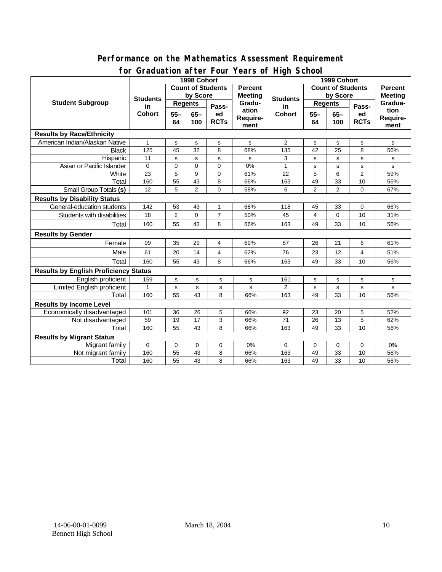### **Performance on the Mathematics Assessment Requirement for Graduation after Four Years of High School**

|                                              | <u><b>Siddaction artor roar roars or right conco</b></u><br>1998 Cohort |                          |                |                |                | 1999 Cohort           |                          |                |                |                                  |  |
|----------------------------------------------|-------------------------------------------------------------------------|--------------------------|----------------|----------------|----------------|-----------------------|--------------------------|----------------|----------------|----------------------------------|--|
| <b>Student Subgroup</b>                      |                                                                         | <b>Count of Students</b> |                |                | <b>Percent</b> |                       | <b>Count of Students</b> |                |                | <b>Percent</b><br><b>Meeting</b> |  |
|                                              | <b>Students</b><br>in<br><b>Cohort</b>                                  | by Score                 |                |                | <b>Meeting</b> |                       | by Score                 |                |                |                                  |  |
|                                              |                                                                         | <b>Regents</b>           |                |                | Gradu-         | <b>Students</b><br>in | <b>Regents</b>           |                |                | Gradua-                          |  |
|                                              |                                                                         | $55 -$                   | $65-$          | Pass-<br>ed    | ation          | <b>Cohort</b>         | $55 -$                   | $65-$          | Pass-<br>ed    | tion                             |  |
|                                              |                                                                         | 64                       | 100            | <b>RCTs</b>    | Require-       |                       | 64                       | 100            | <b>RCTs</b>    | Require-                         |  |
|                                              |                                                                         |                          |                |                | ment           |                       |                          |                |                | ment                             |  |
| <b>Results by Race/Ethnicity</b>             |                                                                         |                          |                |                |                |                       |                          |                |                |                                  |  |
| American Indian/Alaskan Native               | $\mathbf{1}$                                                            | s                        | $\mathbf s$    | ${\tt s}$      | s              | $\overline{2}$        | s                        | $\mathbf s$    | s              | s                                |  |
| <b>Black</b>                                 | 125                                                                     | 45                       | 32             | 8              | 68%            | 135                   | 42                       | 25             | 8              | 56%                              |  |
| Hispanic                                     | 11                                                                      | s                        | s              | s              | s              | 3                     | $\mathbf s$              | $\mathbf s$    | s              | s                                |  |
| Asian or Pacific Islander                    | 0                                                                       | $\mathbf 0$              | $\mathbf 0$    | 0              | $0\%$          | $\mathbf{1}$          | s                        | $\mathbf s$    | s              | s                                |  |
| White                                        | 23                                                                      | 5                        | 9              | 0              | 61%            | 22                    | 5                        | 6              | $\overline{2}$ | 59%                              |  |
| Total                                        | 160                                                                     | 55                       | 43             | 8              | 66%            | 163                   | 49                       | 33             | 10             | 56%                              |  |
| <b>Small Group Totals (s)</b>                | $\overline{12}$                                                         | 5                        | $\overline{2}$ | $\Omega$       | 58%            | 6                     | $\overline{2}$           | $\overline{2}$ | $\Omega$       | 67%                              |  |
| <b>Results by Disability Status</b>          |                                                                         |                          |                |                |                |                       |                          |                |                |                                  |  |
| General-education students                   | 142                                                                     | 53                       | 43             | 1              | 68%            | 118                   | 45                       | 33             | 0              | 66%                              |  |
| Students with disabilities                   | 18                                                                      | 2                        | $\Omega$       | $\overline{7}$ | 50%            | 45                    | $\overline{4}$           | 0              | 10             | 31%                              |  |
| Total                                        | 160                                                                     | 55                       | 43             | 8              | 66%            | 163                   | 49                       | 33             | 10             | 56%                              |  |
| <b>Results by Gender</b>                     |                                                                         |                          |                |                |                |                       |                          |                |                |                                  |  |
| Female                                       | 99                                                                      | 35                       | 29             | 4              | 69%            | 87                    | 26                       | 21             | 6              | 61%                              |  |
| Male                                         | 61                                                                      | 20                       | 14             | 4              | 62%            | 76                    | 23                       | 12             | $\overline{4}$ | 51%                              |  |
| Total                                        | 160                                                                     | 55                       | 43             | 8              | 66%            | 163                   | 49                       | 33             | 10             | 56%                              |  |
| <b>Results by English Proficiency Status</b> |                                                                         |                          |                |                |                |                       |                          |                |                |                                  |  |
| English proficient                           | 159                                                                     | s                        | s              | s              | $\mathbf s$    | 161                   | s                        | $\mathbf s$    | s              | s                                |  |
| Limited English proficient                   | $\mathbf{1}$                                                            | s                        | s              | s              | $\sf s$        | $\overline{2}$        | s                        | $\sf s$        | s              | s                                |  |
| Total                                        | 160                                                                     | 55                       | 43             | 8              | 66%            | 163                   | 49                       | 33             | 10             | 56%                              |  |
| <b>Results by Income Level</b>               |                                                                         |                          |                |                |                |                       |                          |                |                |                                  |  |
| Economically disadvantaged                   | 101                                                                     | 36                       | 26             | 5              | 66%            | 92                    | 23                       | 20             | 5              | 52%                              |  |
| Not disadvantaged                            | 59                                                                      | 19                       | 17             | 3              | 66%            | 71                    | 26                       | 13             | 5              | 62%                              |  |
| Total                                        | 160                                                                     | 55                       | 43             | 8              | 66%            | 163                   | 49                       | 33             | 10             | 56%                              |  |
| <b>Results by Migrant Status</b>             |                                                                         |                          |                |                |                |                       |                          |                |                |                                  |  |
| Migrant family                               | $\mathbf 0$                                                             | $\mathbf 0$              | 0              | 0              | 0%             | 0                     | 0                        | 0              | 0              | 0%                               |  |
| Not migrant family                           | 160                                                                     | 55                       | 43             | 8              | 66%            | 163                   | 49                       | 33             | 10             | 56%                              |  |
| Total                                        | 160                                                                     | 55                       | 43             | 8              | 66%            | 163                   | 49                       | 33             | 10             | 56%                              |  |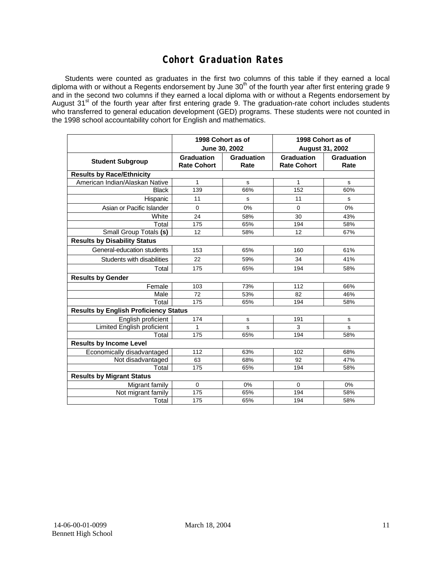### **Cohort Graduation Rates**

Students were counted as graduates in the first two columns of this table if they earned a local diploma with or without a Regents endorsement by June 30<sup>th</sup> of the fourth year after first entering grade 9 and in the second two columns if they earned a local diploma with or without a Regents endorsement by August 31<sup>st</sup> of the fourth year after first entering grade 9. The graduation-rate cohort includes students who transferred to general education development (GED) programs. These students were not counted in the 1998 school accountability cohort for English and mathematics.

|                                              |                                         | 1998 Cohort as of<br>June 30, 2002 | 1998 Cohort as of<br><b>August 31, 2002</b> |                           |  |  |  |  |  |  |
|----------------------------------------------|-----------------------------------------|------------------------------------|---------------------------------------------|---------------------------|--|--|--|--|--|--|
| <b>Student Subgroup</b>                      | <b>Graduation</b><br><b>Rate Cohort</b> | <b>Graduation</b><br>Rate          | <b>Graduation</b><br><b>Rate Cohort</b>     | <b>Graduation</b><br>Rate |  |  |  |  |  |  |
| <b>Results by Race/Ethnicity</b>             |                                         |                                    |                                             |                           |  |  |  |  |  |  |
| American Indian/Alaskan Native               | 1                                       | s                                  | 1                                           | s                         |  |  |  |  |  |  |
| <b>Black</b>                                 | 139                                     | 66%                                | 152                                         | 60%                       |  |  |  |  |  |  |
| Hispanic                                     | 11                                      | s                                  | 11                                          | s                         |  |  |  |  |  |  |
| Asian or Pacific Islander                    | $\mathbf 0$                             | 0%                                 | $\mathbf 0$                                 | 0%                        |  |  |  |  |  |  |
| White                                        | 24                                      | 58%                                | 30                                          | 43%                       |  |  |  |  |  |  |
| Total                                        | 175                                     | 65%                                | 194                                         | 58%                       |  |  |  |  |  |  |
| Small Group Totals (s)                       | 12                                      | 58%                                | 12                                          | 67%                       |  |  |  |  |  |  |
| <b>Results by Disability Status</b>          |                                         |                                    |                                             |                           |  |  |  |  |  |  |
| General-education students                   | 153                                     | 65%                                | 160                                         | 61%                       |  |  |  |  |  |  |
| Students with disabilities                   | 22                                      | 59%                                | 34                                          | 41%                       |  |  |  |  |  |  |
| Total                                        | 175                                     | 65%                                | 194                                         | 58%                       |  |  |  |  |  |  |
| <b>Results by Gender</b>                     |                                         |                                    |                                             |                           |  |  |  |  |  |  |
| Female                                       | 103                                     | 73%                                | 112                                         | 66%                       |  |  |  |  |  |  |
| Male                                         | 72                                      | 53%                                | 82                                          | 46%                       |  |  |  |  |  |  |
| Total                                        | 175                                     | 65%                                | 194                                         | 58%                       |  |  |  |  |  |  |
| <b>Results by English Proficiency Status</b> |                                         |                                    |                                             |                           |  |  |  |  |  |  |
| English proficient                           | 174                                     | s                                  | 191                                         | s                         |  |  |  |  |  |  |
| Limited English proficient                   | 1                                       | s                                  | 3                                           | s                         |  |  |  |  |  |  |
| Total                                        | 175                                     | 65%                                | 194                                         | 58%                       |  |  |  |  |  |  |
| <b>Results by Income Level</b>               |                                         |                                    |                                             |                           |  |  |  |  |  |  |
| Economically disadvantaged                   | 112                                     | 63%                                | 102                                         | 68%                       |  |  |  |  |  |  |
| Not disadvantaged                            | 63                                      | 68%                                | 92                                          | 47%                       |  |  |  |  |  |  |
| Total                                        | 175                                     | 65%                                | 194                                         | 58%                       |  |  |  |  |  |  |
| <b>Results by Migrant Status</b>             |                                         |                                    |                                             |                           |  |  |  |  |  |  |
| Migrant family                               | $\mathbf 0$                             | 0%                                 | $\Omega$                                    | 0%                        |  |  |  |  |  |  |
| Not migrant family                           | 175                                     | 65%                                | 194                                         | 58%                       |  |  |  |  |  |  |
| Total                                        | 175                                     | 65%                                | 194                                         | 58%                       |  |  |  |  |  |  |